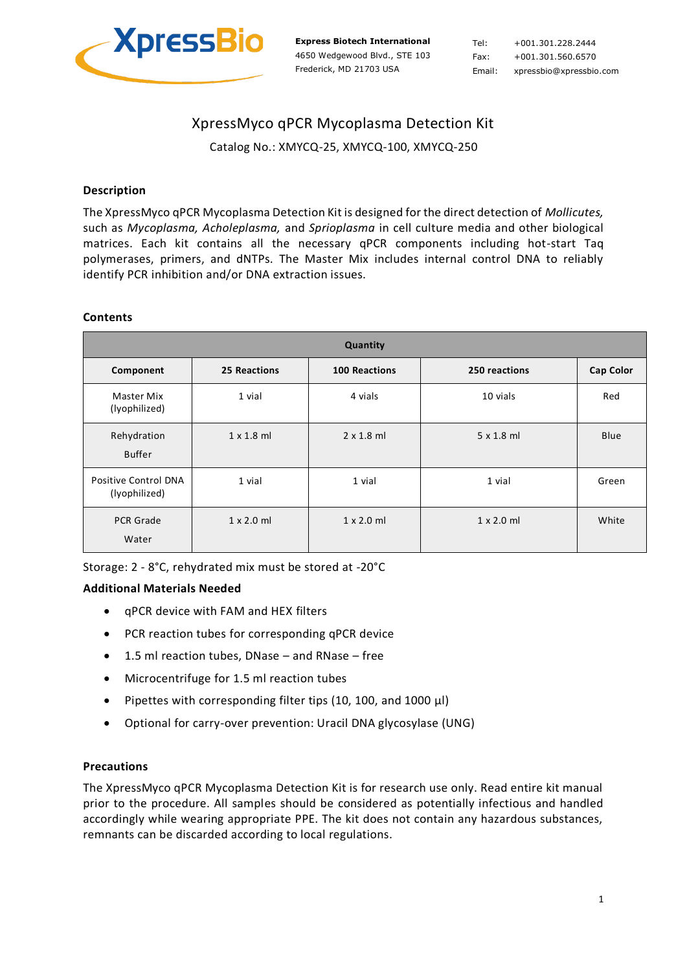

Tel: +001.301.228.2444 Fax: +001.301.560.6570 Email: xpressbio@xpressbio.com

# XpressMyco qPCR Mycoplasma Detection Kit

Catalog No.: XMYCQ-25, XMYCQ-100, XMYCQ-250

## **Description**

The XpressMyco qPCR Mycoplasma Detection Kit is designed for the direct detection of *Mollicutes,* such as *Mycoplasma, Acholeplasma,* and *Sprioplasma* in cell culture media and other biological matrices. Each kit contains all the necessary qPCR components including hot-start Taq polymerases, primers, and dNTPs. The Master Mix includes internal control DNA to reliably identify PCR inhibition and/or DNA extraction issues.

#### **Contents**

| Quantity                              |                     |                      |                   |                  |  |
|---------------------------------------|---------------------|----------------------|-------------------|------------------|--|
| Component                             | <b>25 Reactions</b> | <b>100 Reactions</b> | 250 reactions     | <b>Cap Color</b> |  |
| Master Mix<br>(lyophilized)           | 1 vial              | 4 vials              | 10 vials          | Red              |  |
| Rehydration<br><b>Buffer</b>          | $1 \times 1.8$ ml   | $2 \times 1.8$ ml    | $5 \times 1.8$ ml | <b>Blue</b>      |  |
| Positive Control DNA<br>(lyophilized) | 1 vial              | 1 vial               | 1 vial            | Green            |  |
| <b>PCR Grade</b><br>Water             | $1 \times 2.0$ ml   | $1 \times 2.0$ ml    | $1 \times 2.0$ ml | White            |  |

Storage: 2 - 8°C, rehydrated mix must be stored at -20°C

#### **Additional Materials Needed**

- qPCR device with FAM and HEX filters
- PCR reaction tubes for corresponding qPCR device
- 1.5 ml reaction tubes, DNase and RNase free
- Microcentrifuge for 1.5 ml reaction tubes
- Pipettes with corresponding filter tips (10, 100, and 1000 µl)
- Optional for carry-over prevention: Uracil DNA glycosylase (UNG)

#### **Precautions**

The XpressMyco qPCR Mycoplasma Detection Kit is for research use only. Read entire kit manual prior to the procedure. All samples should be considered as potentially infectious and handled accordingly while wearing appropriate PPE. The kit does not contain any hazardous substances, remnants can be discarded according to local regulations.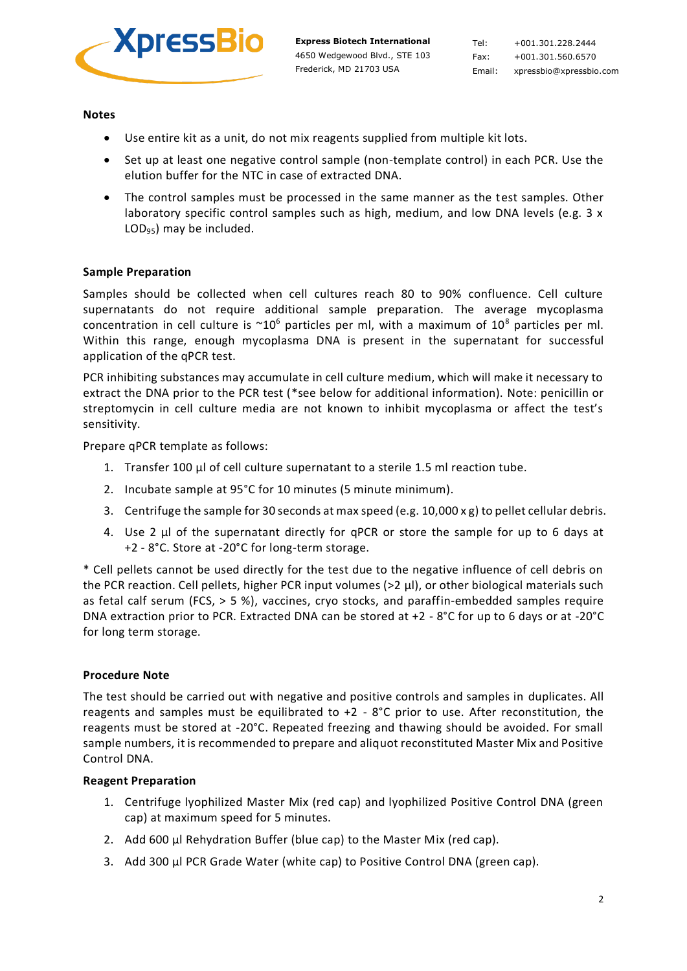

Tel: +001.301.228.2444 Fax: +001.301.560.6570 Email: xpressbio@xpressbio.com

**Notes**

- Use entire kit as a unit, do not mix reagents supplied from multiple kit lots.
- Set up at least one negative control sample (non-template control) in each PCR. Use the elution buffer for the NTC in case of extracted DNA.
- The control samples must be processed in the same manner as the test samples. Other laboratory specific control samples such as high, medium, and low DNA levels (e.g.  $3 \times$ LOD95) may be included.

# **Sample Preparation**

Samples should be collected when cell cultures reach 80 to 90% confluence. Cell culture supernatants do not require additional sample preparation. The average mycoplasma concentration in cell culture is  $\sim 10^6$  particles per ml, with a maximum of  $10^8$  particles per ml. Within this range, enough mycoplasma DNA is present in the supernatant for successful application of the qPCR test.

PCR inhibiting substances may accumulate in cell culture medium, which will make it necessary to extract the DNA prior to the PCR test (\*see below for additional information). Note: penicillin or streptomycin in cell culture media are not known to inhibit mycoplasma or affect the test's sensitivity.

Prepare qPCR template as follows:

- 1. Transfer 100 µl of cell culture supernatant to a sterile 1.5 ml reaction tube.
- 2. Incubate sample at 95°C for 10 minutes (5 minute minimum).
- 3. Centrifuge the sample for 30 seconds at max speed (e.g. 10,000 x g) to pellet cellular debris.
- 4. Use 2 µl of the supernatant directly for qPCR or store the sample for up to 6 days at +2 - 8°C. Store at -20°C for long-term storage.

\* Cell pellets cannot be used directly for the test due to the negative influence of cell debris on the PCR reaction. Cell pellets, higher PCR input volumes (>2 µl), or other biological materials such as fetal calf serum (FCS, > 5 %), vaccines, cryo stocks, and paraffin-embedded samples require DNA extraction prior to PCR. Extracted DNA can be stored at +2 - 8°C for up to 6 days or at -20°C for long term storage.

#### **Procedure Note**

The test should be carried out with negative and positive controls and samples in duplicates. All reagents and samples must be equilibrated to  $+2 - 8$ °C prior to use. After reconstitution, the reagents must be stored at -20°C. Repeated freezing and thawing should be avoided. For small sample numbers, it is recommended to prepare and aliquot reconstituted Master Mix and Positive Control DNA.

#### **Reagent Preparation**

- 1. Centrifuge lyophilized Master Mix (red cap) and lyophilized Positive Control DNA (green cap) at maximum speed for 5 minutes.
- 2. Add 600 µl Rehydration Buffer (blue cap) to the Master Mix (red cap).
- 3. Add 300 µl PCR Grade Water (white cap) to Positive Control DNA (green cap).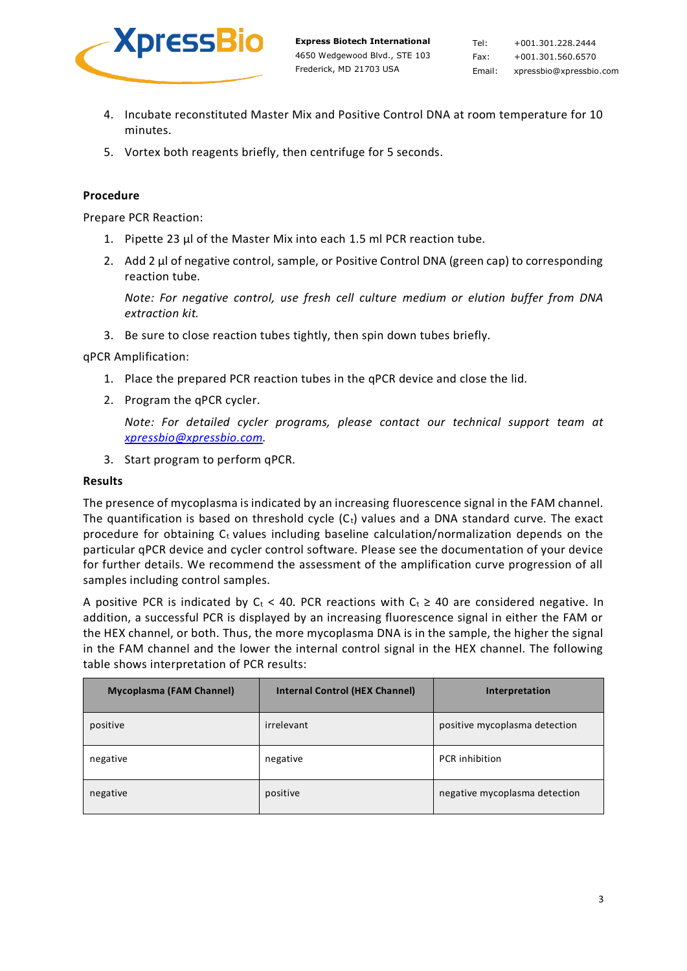

Tel: +001.301.228.2444 Fax: +001.301.560.6570 Email: xpressbio@xpressbio.com

- 4. Incubate reconstituted Master Mix and Positive Control DNA at room temperature for 10 minutes.
- 5. Vortex both reagents briefly, then centrifuge for 5 seconds.

# **Procedure**

Prepare PCR Reaction:

- 1. Pipette 23 µl of the Master Mix into each 1.5 ml PCR reaction tube.
- 2. Add 2 µ of negative control, sample, or Positive Control DNA (green cap) to corresponding reaction tube.

*Note: For negative control, use fresh cell culture medium or elution buffer from DNA extraction kit.*

3. Be sure to close reaction tubes tightly, then spin down tubes briefly.

qPCR Amplification:

- 1. Place the prepared PCR reaction tubes in the qPCR device and close the lid.
- 2. Program the qPCR cycler.

*Note: For detailed cycler programs, please contact our technical support team at [xpressbio@xpressbio.com.](mailto:xpressbio@xpressbio.com)*

3. Start program to perform qPCR.

#### **Results**

The presence of mycoplasma is indicated by an increasing fluorescence signal in the FAM channel. The quantification is based on threshold cycle  $(C_t)$  values and a DNA standard curve. The exact procedure for obtaining  $C_t$  values including baseline calculation/normalization depends on the particular qPCR device and cycler control software. Please see the documentation of your device for further details. We recommend the assessment of the amplification curve progression of all samples including control samples.

A positive PCR is indicated by C<sub>t</sub> < 40. PCR reactions with C<sub>t</sub>  $\geq$  40 are considered negative. In addition, a successful PCR is displayed by an increasing fluorescence signal in either the FAM or the HEX channel, or both. Thus, the more mycoplasma DNA is in the sample, the higher the signal in the FAM channel and the lower the internal control signal in the HEX channel. The following table shows interpretation of PCR results:

| <b>Mycoplasma (FAM Channel)</b> | <b>Internal Control (HEX Channel)</b> | Interpretation                |
|---------------------------------|---------------------------------------|-------------------------------|
| positive                        | irrelevant                            | positive mycoplasma detection |
| negative                        | negative                              | PCR inhibition                |
| negative                        | positive                              | negative mycoplasma detection |